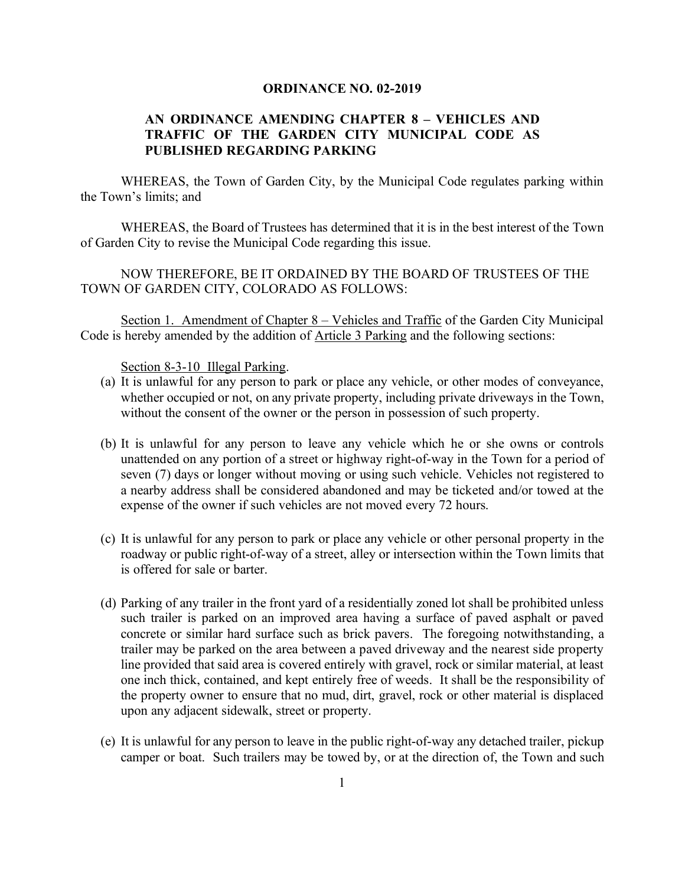#### **ORDINANCE NO. 02-2019**

### **AN ORDINANCE AMENDING CHAPTER 8 – VEHICLES AND TRAFFIC OF THE GARDEN CITY MUNICIPAL CODE AS PUBLISHED REGARDING PARKING**

WHEREAS, the Town of Garden City, by the Municipal Code regulates parking within the Town's limits; and

WHEREAS, the Board of Trustees has determined that it is in the best interest of the Town of Garden City to revise the Municipal Code regarding this issue.

NOW THEREFORE, BE IT ORDAINED BY THE BOARD OF TRUSTEES OF THE TOWN OF GARDEN CITY, COLORADO AS FOLLOWS:

Section 1. Amendment of Chapter 8 – Vehicles and Traffic of the Garden City Municipal Code is hereby amended by the addition of Article 3 Parking and the following sections:

Section 8-3-10 Illegal Parking.

- (a) It is unlawful for any person to park or place any vehicle, or other modes of conveyance, whether occupied or not, on any private property, including private driveways in the Town, without the consent of the owner or the person in possession of such property.
- (b) It is unlawful for any person to leave any vehicle which he or she owns or controls unattended on any portion of a street or highway right-of-way in the Town for a period of seven (7) days or longer without moving or using such vehicle. Vehicles not registered to a nearby address shall be considered abandoned and may be ticketed and/or towed at the expense of the owner if such vehicles are not moved every 72 hours.
- (c) It is unlawful for any person to park or place any vehicle or other personal property in the roadway or public right-of-way of a street, alley or intersection within the Town limits that is offered for sale or barter.
- (d) Parking of any trailer in the front yard of a residentially zoned lot shall be prohibited unless such trailer is parked on an improved area having a surface of paved asphalt or paved concrete or similar hard surface such as brick pavers. The foregoing notwithstanding, a trailer may be parked on the area between a paved driveway and the nearest side property line provided that said area is covered entirely with gravel, rock or similar material, at least one inch thick, contained, and kept entirely free of weeds. It shall be the responsibility of the property owner to ensure that no mud, dirt, gravel, rock or other material is displaced upon any adjacent sidewalk, street or property.
- (e) It is unlawful for any person to leave in the public right-of-way any detached trailer, pickup camper or boat. Such trailers may be towed by, or at the direction of, the Town and such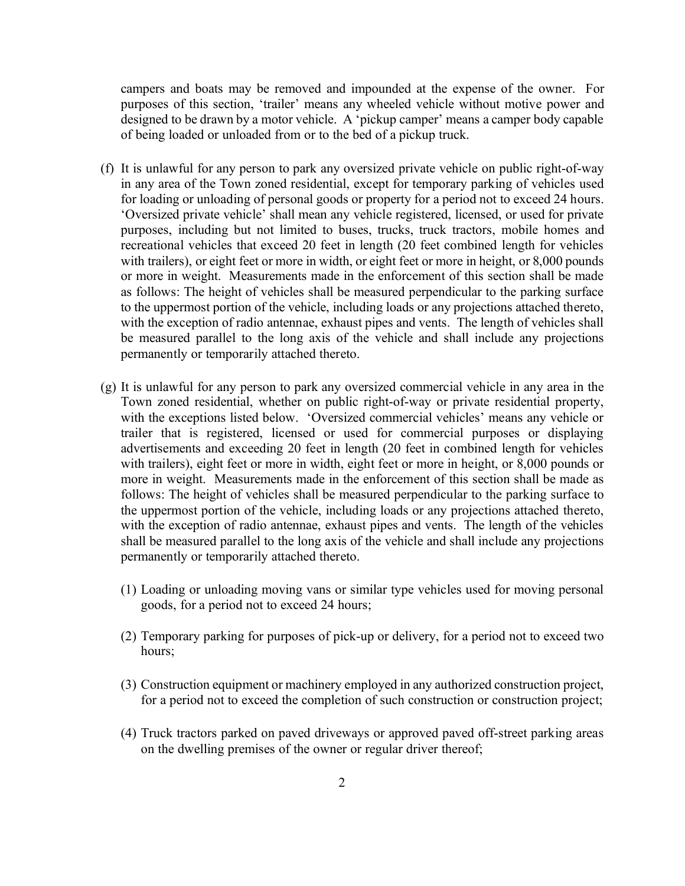campers and boats may be removed and impounded at the expense of the owner. For purposes of this section, 'trailer' means any wheeled vehicle without motive power and designed to be drawn by a motor vehicle. A 'pickup camper' means a camper body capable of being loaded or unloaded from or to the bed of a pickup truck.

- (f) It is unlawful for any person to park any oversized private vehicle on public right-of-way in any area of the Town zoned residential, except for temporary parking of vehicles used for loading or unloading of personal goods or property for a period not to exceed 24 hours. 'Oversized private vehicle' shall mean any vehicle registered, licensed, or used for private purposes, including but not limited to buses, trucks, truck tractors, mobile homes and recreational vehicles that exceed 20 feet in length (20 feet combined length for vehicles with trailers), or eight feet or more in width, or eight feet or more in height, or 8,000 pounds or more in weight. Measurements made in the enforcement of this section shall be made as follows: The height of vehicles shall be measured perpendicular to the parking surface to the uppermost portion of the vehicle, including loads or any projections attached thereto, with the exception of radio antennae, exhaust pipes and vents. The length of vehicles shall be measured parallel to the long axis of the vehicle and shall include any projections permanently or temporarily attached thereto.
- (g) It is unlawful for any person to park any oversized commercial vehicle in any area in the Town zoned residential, whether on public right-of-way or private residential property, with the exceptions listed below. 'Oversized commercial vehicles' means any vehicle or trailer that is registered, licensed or used for commercial purposes or displaying advertisements and exceeding 20 feet in length (20 feet in combined length for vehicles with trailers), eight feet or more in width, eight feet or more in height, or 8,000 pounds or more in weight. Measurements made in the enforcement of this section shall be made as follows: The height of vehicles shall be measured perpendicular to the parking surface to the uppermost portion of the vehicle, including loads or any projections attached thereto, with the exception of radio antennae, exhaust pipes and vents. The length of the vehicles shall be measured parallel to the long axis of the vehicle and shall include any projections permanently or temporarily attached thereto.
	- (1) Loading or unloading moving vans or similar type vehicles used for moving personal goods, for a period not to exceed 24 hours;
	- (2) Temporary parking for purposes of pick-up or delivery, for a period not to exceed two hours;
	- (3) Construction equipment or machinery employed in any authorized construction project, for a period not to exceed the completion of such construction or construction project;
	- (4) Truck tractors parked on paved driveways or approved paved off-street parking areas on the dwelling premises of the owner or regular driver thereof;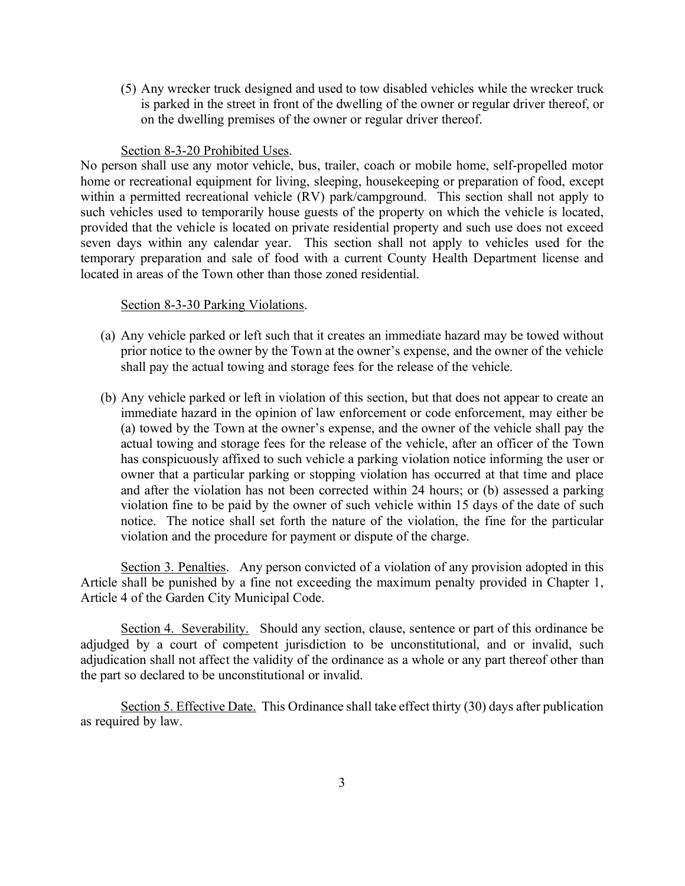(5) Any wrecker truck designed and used to tow disabled vehicles while the wrecker truck is parked in the street in front of the dwelling of the owner or regular driver thereof, or on the dwelling premises of the owner or regular driver thereof.

#### Section 8-3-20 Prohibited Uses.

No person shall use any motor vehicle, bus, trailer, coach or mobile home, self-propelled motor home or recreational equipment for living, sleeping, housekeeping or preparation of food, except within a permitted recreational vehicle (RV) park/campground. This section shall not apply to such vehicles used to temporarily house guests of the property on which the vehicle is located, provided that the vehicle is located on private residential property and such use does not exceed seven days within any calendar year. This section shall not apply to vehicles used for the temporary preparation and sale of food with a current County Health Department license and located in areas of the Town other than those zoned residential.

#### Section 8-3-30 Parking Violations.

- (a) Any vehicle parked or left such that it creates an immediate hazard may be towed without prior notice to the owner by the Town at the owner's expense, and the owner of the vehicle shall pay the actual towing and storage fees for the release of the vehicle.
- (b) Any vehicle parked or left in violation of this section, but that does not appear to create an immediate hazard in the opinion of law enforcement or code enforcement, may either be (a) towed by the Town at the owner's expense, and the owner of the vehicle shall pay the actual towing and storage fees for the release of the vehicle, after an officer of the Town has conspicuously affixed to such vehicle a parking violation notice informing the user or owner that a particular parking or stopping violation has occurred at that time and place and after the violation has not been corrected within 24 hours; or (b) assessed a parking violation fine to be paid by the owner of such vehicle within 15 days of the date of such notice. The notice shall set forth the nature of the violation, the fine for the particular violation and the procedure for payment or dispute of the charge.

Section 3. Penalties. Any person convicted of a violation of any provision adopted in this Article shall be punished by a fine not exceeding the maximum penalty provided in Chapter 1, Article 4 of the Garden City Municipal Code.

Section 4. Severability. Should any section, clause, sentence or part of this ordinance be adjudged by a court of competent jurisdiction to be unconstitutional, and or invalid, such adjudication shall not affect the validity of the ordinance as a whole or any part thereof other than the part so declared to be unconstitutional or invalid.

Section 5. Effective Date. This Ordinance shall take effect thirty (30) days after publication as required by law.